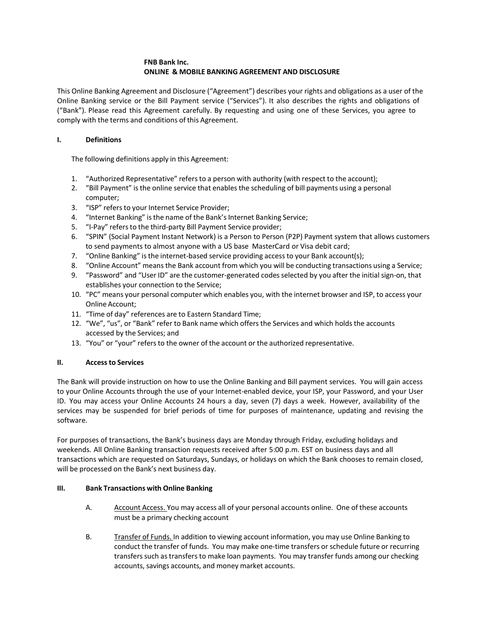## **FNB Bank Inc. ONLINE & MOBILE BANKING AGREEMENT AND DISCLOSURE**

This Online Banking Agreement and Disclosure ("Agreement") describes your rights and obligations as a user of the Online Banking service or the Bill Payment service ("Services"). It also describes the rights and obligations of ("Bank"). Please read this Agreement carefully. By requesting and using one of these Services, you agree to comply with the terms and conditions of this Agreement.

## **I. Definitions**

The following definitions apply in this Agreement:

- 1. "Authorized Representative" refersto a person with authority (with respect to the account);
- 2. "Bill Payment" is the online service that enables the scheduling of bill payments using a personal computer;
- 3. "ISP" refers to your Internet Service Provider;
- 4. "Internet Banking" is the name of the Bank's Internet Banking Service;
- 5. "I-Pay" refers to the third-party Bill Payment Service provider;
- 6. "SPIN" (Social Payment Instant Network) is a Person to Person (P2P) Payment system that allows customers to send payments to almost anyone with a US base MasterCard or Visa debit card;
- 7. "Online Banking" isthe internet-based service providing accessto your Bank account(s);
- 8. "Online Account" meansthe Bank account from which you will be conducting transactions using a Service;
- 9. "Password" and "User ID" are the customer-generated codesselected by you after the initial sign-on, that establishes your connection to the Service;
- 10. "PC" means your personal computer which enables you, with the internet browser and ISP, to access your Online Account;
- 11. "Time of day" references are to Eastern Standard Time;
- 12. "We", "us", or "Bank" refer to Bank name which offers the Services and which holds the accounts accessed by the Services; and
- 13. "You" or "your" refersto the owner of the account or the authorized representative.

### **II. Accessto Services**

The Bank will provide instruction on how to use the Online Banking and Bill payment services. You will gain access to your Online Accounts through the use of your Internet-enabled device, your ISP, your Password, and your User ID. You may access your Online Accounts 24 hours a day, seven (7) days a week. However, availability of the services may be suspended for brief periods of time for purposes of maintenance, updating and revising the software.

For purposes of transactions, the Bank's business days are Monday through Friday, excluding holidays and weekends. All Online Banking transaction requests received after 5:00 p.m. EST on business days and all transactions which are requested on Saturdays, Sundays, or holidays on which the Bank chooses to remain closed, will be processed on the Bank's next business day.

### **III. Bank Transactions with Online Banking**

- A. Account Access. You may access all of your personal accounts online. One of these accounts must be a primary checking account
- B. Transfer of Funds. In addition to viewing account information, you may use Online Banking to conduct the transfer of funds. You may make one-time transfers or schedule future or recurring transferssuch astransfers to make loan payments. You may transfer funds among our checking accounts, savings accounts, and money market accounts.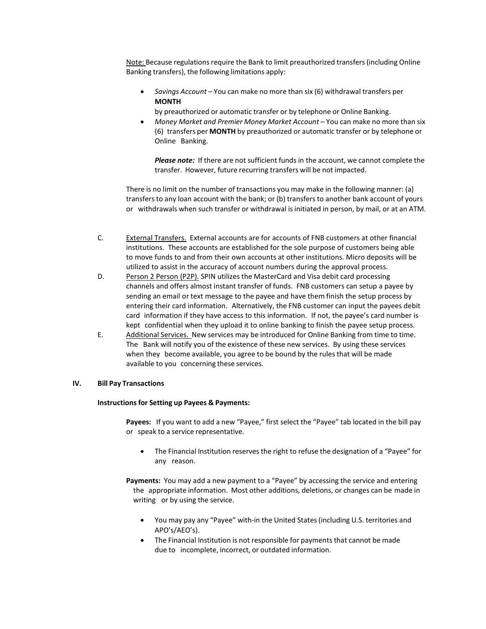Note: Because regulations require the Bank to limit preauthorized transfers (including Online Banking transfers), the following limitations apply:

• *Savings Account* – You can make no more than six (6) withdrawal transfers per **MONTH**

by preauthorized or automatic transfer or by telephone or Online Banking.

• *Money Market and Premier Money Market Account* – You can make no more than six (6) transfers per **MONTH** by preauthorized or automatic transfer or by telephone or Online Banking.

*Please note:* If there are not sufficient funds in the account, we cannot complete the transfer. However, future recurring transfers will be not impacted.

There is no limit on the number of transactions you may make in the following manner: (a) transfersto any loan account with the bank; or (b) transfersto another bank account of yours or withdrawals when such transfer or withdrawal isinitiated in person, by mail, or at an ATM.

- C. External Transfers. External accounts are for accounts of FNB customers at other financial institutions. These accounts are established for the sole purpose of customers being able to move funds to and from their own accounts at other institutions. Micro deposits will be utilized to assist in the accuracy of account numbers during the approval process.
- D. Person 2 Person (P2P). SPIN utilizes the MasterCard and Visa debit card processing channels and offers almost instant transfer of funds. FNB customers can setup a payee by sending an email or text message to the payee and have them finish the setup process by entering their card information. Alternatively, the FNB customer can input the payees debit card information if they have access to this information. If not, the payee's card number is kept confidential when they upload it to online banking to finish the payee setup process.
- E. Additional Services. New services may be introduced for Online Banking from time to time. The Bank will notify you of the existence of these new services. By using these services when they become available, you agree to be bound by the rules that will be made available to you concerning these services.

### **IV. Bill Pay Transactions**

### **Instructionsfor Setting up Payees & Payments:**

**Payees:** If you want to add a new "Payee," first select the "Payee" tab located in the bill pay or speak to a service representative.

• The Financial Institution reserves the right to refuse the designation of a "Payee" for any reason.

**Payments:** You may add a new payment to a "Payee" by accessing the service and entering the appropriate information. Most other additions, deletions, or changes can be made in writing or by using the service.

- You may pay any "Payee" with-in the United States(including U.S. territories and APO's/AEO's).
- The Financial Institution is not responsible for payments that cannot be made due to incomplete, incorrect, or outdated information.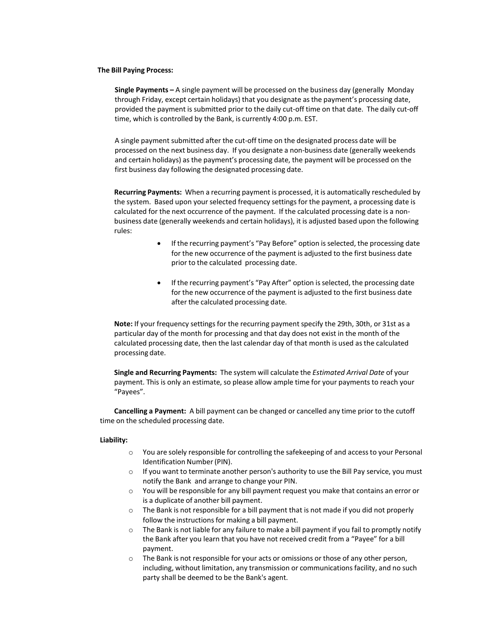#### **The Bill Paying Process:**

**Single Payments –** A single payment will be processed on the business day (generally Monday through Friday, except certain holidays) that you designate asthe payment's processing date, provided the payment is submitted prior to the daily cut-off time on that date. The daily cut-off time, which is controlled by the Bank, is currently 4:00 p.m. EST.

A single payment submitted after the cut-off time on the designated process date will be processed on the next business day. If you designate a non-business date (generally weekends and certain holidays) as the payment's processing date, the payment will be processed on the first business day following the designated processing date.

**Recurring Payments:** When a recurring payment is processed, it is automatically rescheduled by the system. Based upon your selected frequency settings for the payment, a processing date is calculated for the next occurrence of the payment. If the calculated processing date is a nonbusiness date (generally weekends and certain holidays), it is adjusted based upon the following rules:

- If the recurring payment's "Pay Before" option isselected, the processing date for the new occurrence of the payment is adjusted to the first business date prior to the calculated processing date.
- If the recurring payment's "Pay After" option is selected, the processing date for the new occurrence of the payment is adjusted to the first business date after the calculated processing date.

Note: If your frequency settings for the recurring payment specify the 29th, 30th, or 31st as a particular day of the month for processing and that day does not exist in the month of the calculated processing date, then the last calendar day of that month is used asthe calculated processing date.

**Single and Recurring Payments:** The system will calculate the *Estimated Arrival Date* of your payment. This is only an estimate, so please allow ample time for your payments to reach your "Payees".

**Cancelling a Payment:** A bill payment can be changed or cancelled any time prior to the cutoff time on the scheduled processing date.

#### **Liability:**

- o You are solely responsible for controlling the safekeeping of and accessto your Personal Identification Number(PIN).
- o If you want to terminate another person's authority to use the Bill Pay service, you must notify the Bank and arrange to change your PIN.
- $\circ$  You will be responsible for any bill payment request you make that contains an error or is a duplicate of another bill payment.
- o The Bank is not responsible for a bill payment that is not made if you did not properly follow the instructions for making a bill payment.
- $\circ$  The Bank is not liable for any failure to make a bill payment if you fail to promptly notify the Bank after you learn that you have not received credit from a "Payee" for a bill payment.
- o The Bank is not responsible for your acts or omissions or those of any other person, including, without limitation, any transmission or communications facility, and no such party shall be deemed to be the Bank's agent.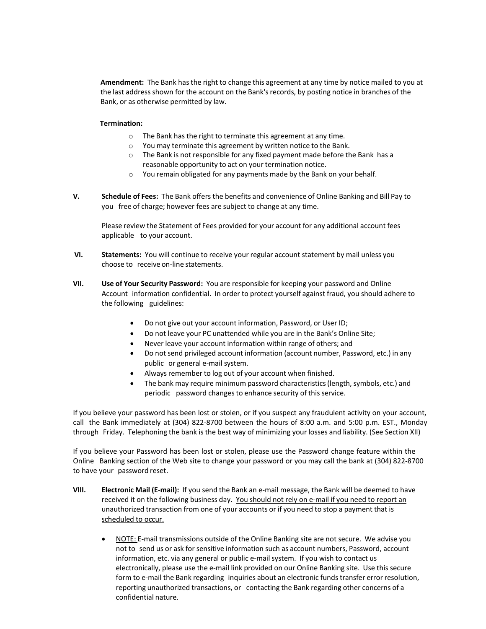**Amendment:** The Bank hasthe right to change this agreement at any time by notice mailed to you at the last address shown for the account on the Bank'srecords, by posting notice in branches of the Bank, or as otherwise permitted by law.

### **Termination:**

- o The Bank has the right to terminate this agreement at any time.
- o You may terminate this agreement by written notice to the Bank.
- $\circ$  The Bank is not responsible for any fixed payment made before the Bank has a reasonable opportunity to act on your termination notice.
- o You remain obligated for any payments made by the Bank on your behalf.
- **V. Schedule of Fees:** The Bank offers the benefits and convenience of Online Banking and Bill Pay to you free of charge; however fees are subject to change at any time.

Please review the Statement of Fees provided for your account for any additional account fees applicable to your account.

- **VI. Statements:** You will continue to receive your regular account statement by mail unless you choose to receive on-line statements.
- **VII. Use of Your Security Password:** You are responsible for keeping your password and Online Account information confidential. In order to protect yourself against fraud, you should adhere to the following guidelines:
	- Do not give out your account information, Password, or User ID;
	- Do not leave your PC unattended while you are in the Bank's Online Site;
	- Never leave your account information within range of others; and
	- Do not send privileged account information (account number, Password, etc.) in any public or general e-mail system.
	- Always remember to log out of your account when finished.
	- The bank may require minimum password characteristics(length, symbols, etc.) and periodic password changes to enhance security of this service.

If you believe your password has been lost or stolen, or if you suspect any fraudulent activity on your account, call the Bank immediately at (304) 822-8700 between the hours of 8:00 a.m. and 5:00 p.m. EST., Monday through Friday. Telephoning the bank is the best way of minimizing your losses and liability. (See Section XII)

If you believe your Password has been lost or stolen, please use the Password change feature within the Online Banking section of the Web site to change your password or you may call the bank at (304) 822-8700 to have your password reset.

- **VIII. Electronic Mail (E-mail):** If you send the Bank an e-mail message, the Bank will be deemed to have received it on the following business day. You should not rely on e-mail if you need to report an unauthorized transaction from one of your accounts or if you need to stop a payment that is scheduled to occur.
	- NOTE: E-mail transmissions outside of the Online Banking site are not secure. We advise you not to send us or ask for sensitive information such as account numbers, Password, account information, etc. via any general or public e-mail system. If you wish to contact us electronically, please use the e-mail link provided on our Online Banking site. Use this secure form to e-mail the Bank regarding inquiries about an electronic funds transfer error resolution, reporting unauthorized transactions, or contacting the Bank regarding other concerns of a confidential nature.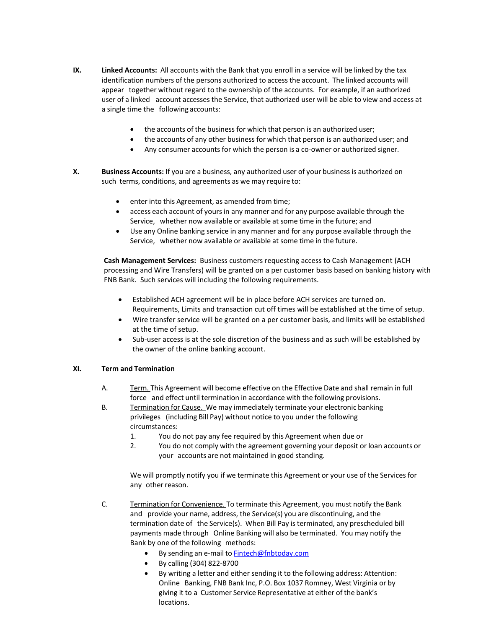- **IX. Linked Accounts:** All accounts with the Bank that you enroll in a service will be linked by the tax identification numbers of the persons authorized to access the account. The linked accounts will appear together without regard to the ownership of the accounts. For example, if an authorized user of a linked account accesses the Service, that authorized user will be able to view and access at a single time the following accounts:
	- the accounts of the business for which that person is an authorized user;
	- the accounts of any other business for which that person is an authorized user; and
	- Any consumer accounts for which the person is a co-owner or authorized signer.
- **X. Business Accounts:** If you are a business, any authorized user of your business is authorized on such terms, conditions, and agreements as we may require to:
	- enter into this Agreement, as amended from time;
	- access each account of yours in any manner and for any purpose available through the Service, whether now available or available at some time in the future; and
	- Use any Online banking service in any manner and for any purpose available through the Service, whether now available or available at some time in the future.

**Cash Management Services:** Business customers requesting access to Cash Management (ACH processing and Wire Transfers) will be granted on a per customer basis based on banking history with FNB Bank. Such services will including the following requirements.

- Established ACH agreement will be in place before ACH services are turned on. Requirements, Limits and transaction cut off times will be established at the time of setup.
- Wire transfer service will be granted on a per customer basis, and limits will be established at the time of setup.
- Sub-user access is at the sole discretion of the business and as such will be established by the owner of the online banking account.

### **XI. Term and Termination**

- A. Term. This Agreement will become effective on the Effective Date and shall remain in full force and effect until termination in accordance with the following provisions.
- B. Termination for Cause. We may immediately terminate your electronic banking privileges (including Bill Pay) without notice to you under the following circumstances:
	- 1. You do not pay any fee required by this Agreement when due or
	- 2. You do not comply with the agreement governing your deposit or loan accounts or your accounts are not maintained in good standing.

We will promptly notify you if we terminate this Agreement or your use of the Services for any other reason.

- C. Termination for Convenience. To terminate this Agreement, you must notify the Bank and provide your name, address, the Service(s) you are discontinuing, and the termination date of the Service(s). When Bill Pay isterminated, any prescheduled bill payments made through Online Banking will also be terminated. You may notify the Bank by one of the following methods:
	- By sending an e-mail to [Fintech@fnbtoday.com](mailto:Fintech@fnbtoday.com)
	- By calling (304) 822-8700
	- By writing a letter and either sending it to the following address: Attention: Online Banking, FNB Bank Inc, P.O. Box 1037 Romney, West Virginia or by giving it to a Customer Service Representative at either of the bank's locations.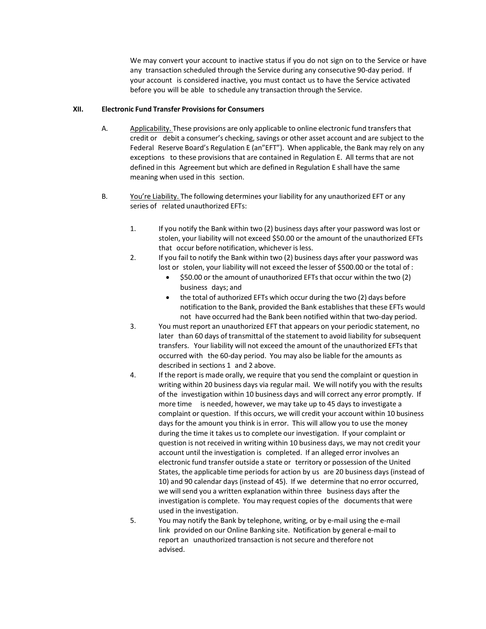We may convert your account to inactive status if you do not sign on to the Service or have any transaction scheduled through the Service during any consecutive 90-day period. If your account is considered inactive, you must contact us to have the Service activated before you will be able to schedule any transaction through the Service.

### **XII. Electronic Fund Transfer Provisionsfor Consumers**

- A. Applicability. These provisions are only applicable to online electronic fund transfersthat credit or debit a consumer's checking, savings or other asset account and are subject to the Federal Reserve Board's Regulation E (an"EFT"). When applicable, the Bank may rely on any exceptions to these provisions that are contained in Regulation E. All terms that are not defined in this Agreement but which are defined in Regulation E shall have the same meaning when used in this section.
- B. You're Liability. The following determines your liability for any unauthorized EFT or any series of related unauthorized EFTs:
	- 1. If you notify the Bank within two (2) business days after your password was lost or stolen, your liability will not exceed \$50.00 or the amount of the unauthorized EFTs that occur before notification, whichever is less.
	- 2. If you fail to notify the Bank within two (2) business days after your password was lost or stolen, your liability will not exceed the lesser of \$500.00 or the total of :
		- \$50.00 or the amount of unauthorized EFTs that occur within the two (2) business days; and
		- the total of authorized EFTs which occur during the two (2) days before notification to the Bank, provided the Bank establishes that these EFTs would not have occurred had the Bank been notified within that two-day period.
	- 3. You must report an unauthorized EFT that appears on your periodic statement, no later than 60 days of transmittal of the statement to avoid liability for subsequent transfers. Your liability will not exceed the amount of the unauthorized EFTsthat occurred with the 60-day period. You may also be liable for the amounts as described in sections 1 and 2 above.
	- 4. If the report is made orally, we require that you send the complaint or question in writing within 20 business days via regular mail. We will notify you with the results of the investigation within 10 business days and will correct any error promptly. If more time is needed, however, we may take up to 45 days to investigate a complaint or question. If this occurs, we will credit your account within 10 business days for the amount you think is in error. This will allow you to use the money during the time it takes us to complete our investigation. If your complaint or question is not received in writing within 10 business days, we may not credit your account until the investigation is completed. If an alleged error involves an electronic fund transfer outside a state or territory or possession of the United States, the applicable time periods for action by us are 20 business days (instead of 10) and 90 calendar days (instead of 45). If we determine that no error occurred, we will send you a written explanation within three business days after the investigation is complete. You may request copies of the documents that were used in the investigation.
	- 5. You may notify the Bank by telephone, writing, or by e-mail using the e-mail link provided on our Online Banking site. Notification by general e-mail to report an unauthorized transaction is not secure and therefore not advised.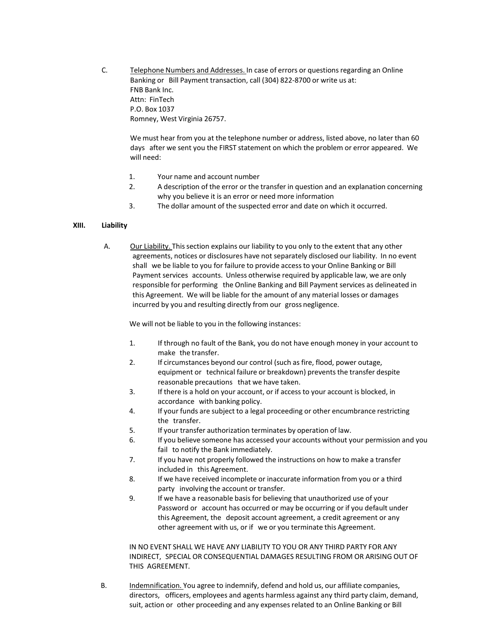C. Telephone Numbers and Addresses. In case of errors or questions regarding an Online Banking or Bill Payment transaction, call (304) 822-8700 or write us at: FNB Bank Inc. Attn: FinTech P.O. Box 1037 Romney, West Virginia 26757.

We must hear from you at the telephone number or address, listed above, no later than 60 days after we sent you the FIRST statement on which the problem or error appeared. We will need:

- 1. Your name and account number
- 2. A description of the error or the transfer in question and an explanation concerning why you believe it is an error or need more information
- 3. The dollar amount of the suspected error and date on which it occurred.

### **XIII. Liability**

A. Our Liability. Thissection explains our liability to you only to the extent that any other agreements, notices or disclosures have not separately disclosed our liability. In no event shall we be liable to you for failure to provide access to your Online Banking or Bill Payment services accounts. Unless otherwise required by applicable law, we are only responsible for performing the Online Banking and Bill Payment services as delineated in this Agreement. We will be liable for the amount of any material losses or damages incurred by you and resulting directly from our gross negligence.

We will not be liable to you in the following instances:

- 1. If through no fault of the Bank, you do not have enough money in your account to make the transfer.
- 2. If circumstances beyond our control (such as fire, flood, power outage, equipment or technical failure or breakdown) prevents the transfer despite reasonable precautions that we have taken.
- 3. If there is a hold on your account, or if access to your account is blocked, in accordance with banking policy.
- 4. If your funds are subject to a legal proceeding or other encumbrance restricting the transfer.
- 5. If your transfer authorization terminates by operation of law.
- 6. If you believe someone has accessed your accounts without your permission and you fail to notify the Bank immediately.
- 7. If you have not properly followed the instructions on how to make a transfer included in this Agreement.
- 8. If we have received incomplete or inaccurate information from you or a third party involving the account or transfer.
- 9. If we have a reasonable basis for believing that unauthorized use of your Password or account has occurred or may be occurring or if you default under this Agreement, the deposit account agreement, a credit agreement or any other agreement with us, or if we or you terminate this Agreement.

IN NO EVENT SHALL WE HAVE ANY LIABILITY TO YOU OR ANY THIRD PARTY FOR ANY INDIRECT, SPECIAL OR CONSEQUENTIAL DAMAGES RESULTING FROM OR ARISING OUT OF THIS AGREEMENT.

B. Indemnification. You agree to indemnify, defend and hold us, our affiliate companies, directors, officers, employees and agents harmless against any third party claim, demand, suit, action or other proceeding and any expenses related to an Online Banking or Bill